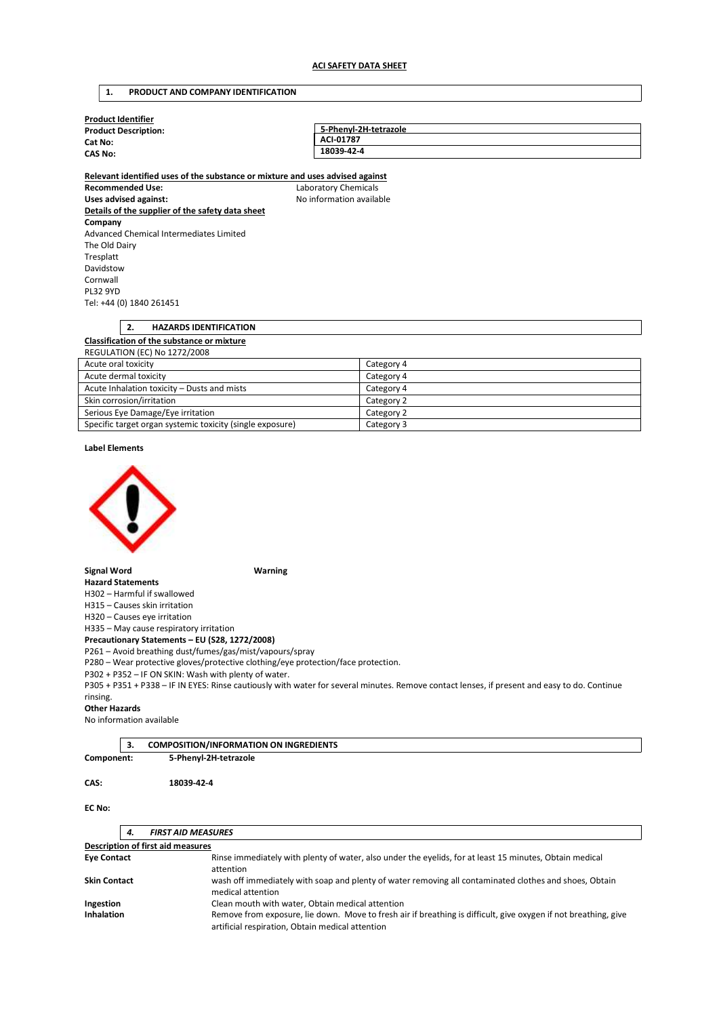## 1. PRODUCT AND COMPANY IDENTIFICATION

| <b>Product Identifier</b>   |                       |  |
|-----------------------------|-----------------------|--|
| <b>Product Description:</b> | 5-Phenvl-2H-tetrazole |  |
| Cat No:                     | ACI-01787             |  |
| <b>CAS No:</b>              | 18039-42-4            |  |
|                             |                       |  |

Relevant identified uses of the substance or mixture and uses advised against Recommended Use: Laboratory Chemicals Uses advised against: No information available Details of the supplier of the safety data sheet Company Advanced Chemical Intermediates Limited The Old Dairy Tresplatt Davidstow Cornwall PL32 9YD Tel: +44 (0) 1840 261451

| <b>HAZARDS IDENTIFICATION</b>                             |            |  |
|-----------------------------------------------------------|------------|--|
| <b>Classification of the substance or mixture</b>         |            |  |
| <b>REGULATION (EC) No 1272/2008</b>                       |            |  |
| Acute oral toxicity                                       | Category 4 |  |
| Acute dermal toxicity                                     | Category 4 |  |
| Acute Inhalation toxicity - Dusts and mists               | Category 4 |  |
| Skin corrosion/irritation                                 | Category 2 |  |
| Serious Eye Damage/Eye irritation                         | Category 2 |  |
| Specific target organ systemic toxicity (single exposure) | Category 3 |  |

### Label Elements



### Signal Word Warning

Hazard Statements H302 – Harmful if swallowed

H315 – Causes skin irritation H320 – Causes eye irritation

H335 – May cause respiratory irritation

Precautionary Statements – EU (S28, 1272/2008) P261 – Avoid breathing dust/fumes/gas/mist/vapours/spray

P280 – Wear protective gloves/protective clothing/eye protection/face protection.

P302 + P352 – IF ON SKIN: Wash with plenty of water.

P305 + P351 + P338 – IF IN EYES: Rinse cautiously with water for several minutes. Remove contact lenses, if present and easy to do. Continue rinsing.

### Other Hazards

No information available

|            | э. | <b>COMPOSITION/INFORMATION ON INGREDIENTS</b> |  |
|------------|----|-----------------------------------------------|--|
| Component: |    | 5-Phenyl-2H-tetrazole                         |  |

### CAS: 18039-42-4

### EC No:

| 4.                                                                                                                                         | <b>FIRST AID MEASURES</b>                                                                                                                                           |  |  |
|--------------------------------------------------------------------------------------------------------------------------------------------|---------------------------------------------------------------------------------------------------------------------------------------------------------------------|--|--|
| <b>Description of first aid measures</b>                                                                                                   |                                                                                                                                                                     |  |  |
| Rinse immediately with plenty of water, also under the eyelids, for at least 15 minutes, Obtain medical<br><b>Eye Contact</b><br>attention |                                                                                                                                                                     |  |  |
| <b>Skin Contact</b>                                                                                                                        | wash off immediately with soap and plenty of water removing all contaminated clothes and shoes, Obtain<br>medical attention                                         |  |  |
| Clean mouth with water, Obtain medical attention<br>Ingestion                                                                              |                                                                                                                                                                     |  |  |
| <b>Inhalation</b>                                                                                                                          | Remove from exposure, lie down. Move to fresh air if breathing is difficult, give oxygen if not breathing, give<br>artificial respiration, Obtain medical attention |  |  |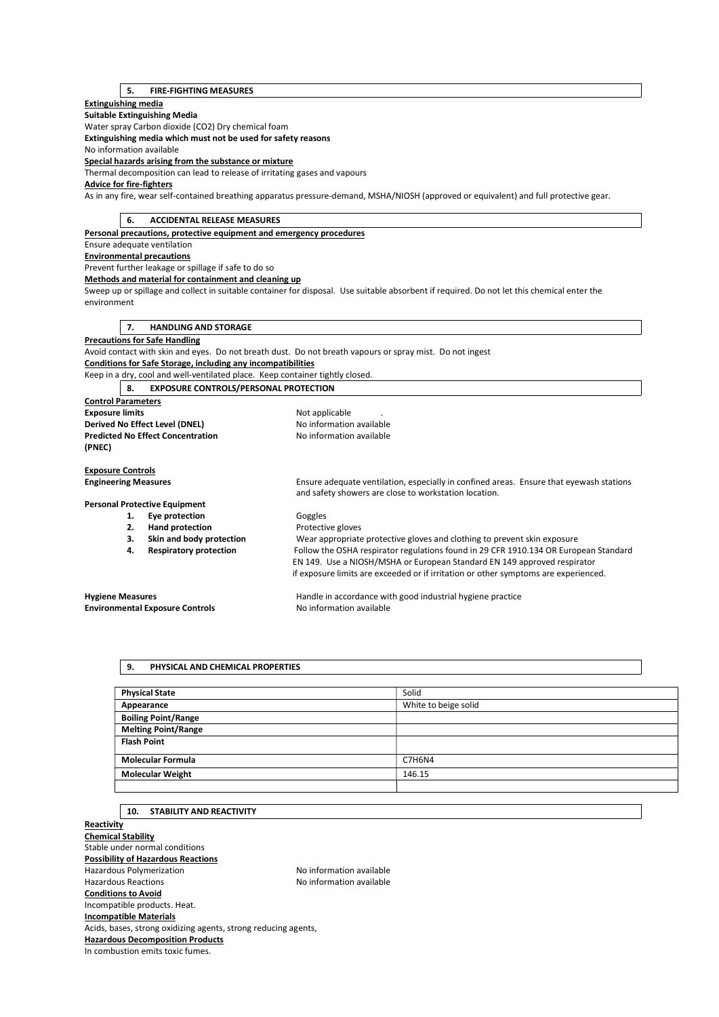# 5. FIRE-FIGHTING MEASURES

# Extinguishing media

Suitable Extinguishing Media Water spray Carbon dioxide (CO2) Dry chemical foam

Extinguishing media which must not be used for safety reasons

No information available

Special hazards arising from the substance or mixture

Thermal decomposition can lead to release of irritating gases and vapours

# Advice for fire-fighters

As in any fire, wear self-contained breathing apparatus pressure-demand, MSHA/NIOSH (approved or equivalent) and full protective gear.

| 6.                                                                            | <b>ACCIDENTAL RELEASE MEASURES</b>                                                                                                          |  |  |
|-------------------------------------------------------------------------------|---------------------------------------------------------------------------------------------------------------------------------------------|--|--|
| Personal precautions, protective equipment and emergency procedures           |                                                                                                                                             |  |  |
| Ensure adequate ventilation                                                   |                                                                                                                                             |  |  |
| <b>Environmental precautions</b>                                              |                                                                                                                                             |  |  |
| Prevent further leakage or spillage if safe to do so                          |                                                                                                                                             |  |  |
| Methods and material for containment and cleaning up                          |                                                                                                                                             |  |  |
| environment                                                                   | Sweep up or spillage and collect in suitable container for disposal. Use suitable absorbent if required. Do not let this chemical enter the |  |  |
| 7.<br><b>HANDLING AND STORAGE</b>                                             |                                                                                                                                             |  |  |
| <b>Precautions for Safe Handling</b>                                          |                                                                                                                                             |  |  |
|                                                                               | Avoid contact with skin and eyes. Do not breath dust. Do not breath vapours or spray mist. Do not ingest                                    |  |  |
| <b>Conditions for Safe Storage, including any incompatibilities</b>           |                                                                                                                                             |  |  |
| Keep in a dry, cool and well-ventilated place. Keep container tightly closed. |                                                                                                                                             |  |  |
| 8.<br><b>EXPOSURE CONTROLS/PERSONAL PROTECTION</b>                            |                                                                                                                                             |  |  |
| <b>Control Parameters</b>                                                     |                                                                                                                                             |  |  |
| <b>Exposure limits</b>                                                        | Not applicable                                                                                                                              |  |  |
| Derived No Effect Level (DNEL)                                                | No information available                                                                                                                    |  |  |
| <b>Predicted No Effect Concentration</b>                                      | No information available                                                                                                                    |  |  |
| (PNEC)                                                                        |                                                                                                                                             |  |  |
| <b>Exposure Controls</b>                                                      |                                                                                                                                             |  |  |
| <b>Engineering Measures</b>                                                   | Ensure adequate ventilation, especially in confined areas. Ensure that eyewash stations                                                     |  |  |
|                                                                               | and safety showers are close to workstation location.                                                                                       |  |  |
| <b>Personal Protective Equipment</b>                                          |                                                                                                                                             |  |  |
| Eye protection<br>1.                                                          | Goggles                                                                                                                                     |  |  |
| <b>Hand protection</b><br>2.                                                  | Protective gloves                                                                                                                           |  |  |
| Skin and body protection<br>3.                                                | Wear appropriate protective gloves and clothing to prevent skin exposure                                                                    |  |  |
| <b>Respiratory protection</b><br>4.                                           | Follow the OSHA respirator regulations found in 29 CFR 1910.134 OR European Standard                                                        |  |  |
|                                                                               | EN 149. Use a NIOSH/MSHA or European Standard EN 149 approved respirator                                                                    |  |  |
|                                                                               | if exposure limits are exceeded or if irritation or other symptoms are experienced.                                                         |  |  |
| <b>Hygiene Measures</b>                                                       | Handle in accordance with good industrial hygiene practice                                                                                  |  |  |
| <b>Environmental Exposure Controls</b>                                        | No information available                                                                                                                    |  |  |
|                                                                               |                                                                                                                                             |  |  |

# 9. PHYSICAL AND CHEMICAL PROPERTIES

| <b>Physical State</b>      | Solid                |
|----------------------------|----------------------|
| Appearance                 | White to beige solid |
| <b>Boiling Point/Range</b> |                      |
| <b>Melting Point/Range</b> |                      |
| <b>Flash Point</b>         |                      |
|                            |                      |
| <b>Molecular Formula</b>   | C7H6N4               |
| <b>Molecular Weight</b>    | 146.15               |
|                            |                      |

# 10. STABILITY AND REACTIVITY

**Reactivity** Chemical Stability Stable under normal conditions Possibility of Hazardous Reactions Hazardous Polymerization and the No information available<br>Hazardous Reactions available No information available No information available Conditions to Avoid Incompatible products. Heat. Incompatible Materials Acids, bases, strong oxidizing agents, strong reducing agents, Hazardous Decomposition Products In combustion emits toxic fumes.